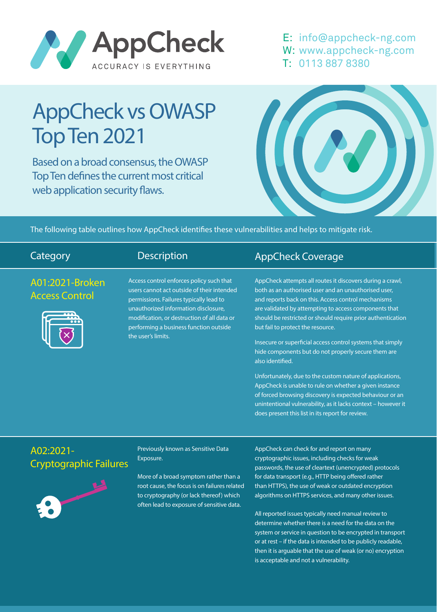

E: info@appcheck-ng.com W: www.appcheck-ng.com T: 0113 887 8380

# AppCheck vs OWASP Top Ten 2021

Based on a broad consensus, the OWASP Top Ten defines the current most critical web application security flaws.



The following table outlines how AppCheck identifies these vulnerabilities and helps to mitigate risk.

| Category                                   | <b>Description</b>                                                                                                                                                                                                                                                                       | <b>AppCheck Coverage</b>                                                                                                                                                                                                                                                                                                                                                                                                                                                                                                                                                                                                                                                                                                                                                              |
|--------------------------------------------|------------------------------------------------------------------------------------------------------------------------------------------------------------------------------------------------------------------------------------------------------------------------------------------|---------------------------------------------------------------------------------------------------------------------------------------------------------------------------------------------------------------------------------------------------------------------------------------------------------------------------------------------------------------------------------------------------------------------------------------------------------------------------------------------------------------------------------------------------------------------------------------------------------------------------------------------------------------------------------------------------------------------------------------------------------------------------------------|
| A01:2021-Broken<br><b>Access Control</b>   | Access control enforces policy such that<br>users cannot act outside of their intended<br>permissions. Failures typically lead to<br>unauthorized information disclosure,<br>modification, or destruction of all data or<br>performing a business function outside<br>the user's limits. | AppCheck attempts all routes it discovers during a crawl,<br>both as an authorised user and an unauthorised user,<br>and reports back on this. Access control mechanisms<br>are validated by attempting to access components that<br>should be restricted or should require prior authentication<br>but fail to protect the resource.<br>Insecure or superficial access control systems that simply<br>hide components but do not properly secure them are<br>also identified.<br>Unfortunately, due to the custom nature of applications,<br>AppCheck is unable to rule on whether a given instance<br>of forced browsing discovery is expected behaviour or an<br>unintentional vulnerability, as it lacks context - however it<br>does present this list in its report for review. |
| A02:2021-<br><b>Cryptographic Failures</b> | Previously known as Sensitive Data<br>Exposure.<br>More of a broad symptom rather than a                                                                                                                                                                                                 | AppCheck can check for and report on many<br>cryptographic issues, including checks for weak<br>passwords, the use of cleartext (unencrypted) protocols<br>for data transport (e.g., HTTP being offered rather                                                                                                                                                                                                                                                                                                                                                                                                                                                                                                                                                                        |

root cause, the focus is on failures related to cryptography (or lack thereof) which often lead to exposure of sensitive data.

than HTTPS), the use of weak or outdated encryption algorithms on HTTPS services, and many other issues.

All reported issues typically need manual review to determine whether there is a need for the data on the system or service in question to be encrypted in transport or at rest – if the data is intended to be publicly readable, then it is arguable that the use of weak (or no) encryption is acceptable and not a vulnerability.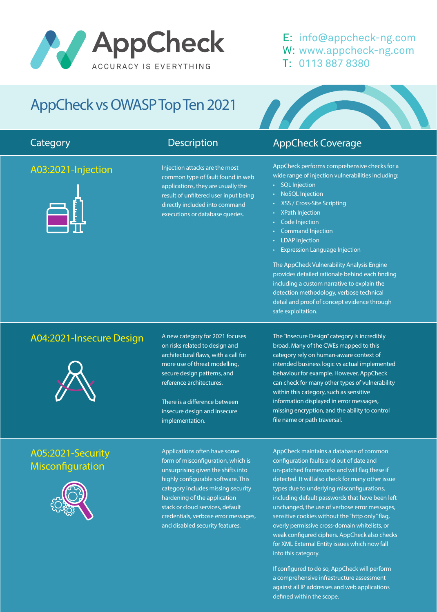# AppCheck ACCURACY IS EVERYTHING

### E: info@appcheck-ng.com W: www.appcheck-ng.com T: 0113 887 8380

# AppCheck vs OWASP Top Ten 2021

#### A03:2021-Injection



Injection attacks are the most common type of fault found in web applications, they are usually the result of unfiltered user input being directly included into command executions or database queries.

### **Category Category Description** Description **AppCheck Coverage**

AppCheck performs comprehensive checks for a wide range of injection vulnerabilities including:

- SQL Injection
- NoSQL Injection
- XSS / Cross-Site Scripting
- XPath Injection
- Code Injection
- Command Injection
- **LDAP** Injection
- Expression Language Injection

The AppCheck Vulnerability Analysis Engine provides detailed rationale behind each finding including a custom narrative to explain the detection methodology, verbose technical detail and proof of concept evidence through safe exploitation.

### A04:2021-Insecure Design



### A05:2021-Security Misconfiguration



A new category for 2021 focuses on risks related to design and architectural flaws, with a call for more use of threat modelling, secure design patterns, and reference architectures.

There is a difference between insecure design and insecure implementation.

Applications often have some form of misconfiguration, which is unsurprising given the shifts into highly configurable software. This category includes missing security hardening of the application stack or cloud services, default credentials, verbose error messages, and disabled security features.

The "Insecure Design" category is incredibly broad. Many of the CWEs mapped to this category rely on human-aware context of intended business logic vs actual implemented behaviour for example. However, AppCheck can check for many other types of vulnerability within this category, such as sensitive information displayed in error messages, missing encryption, and the ability to control file name or path traversal.

AppCheck maintains a database of common configuration faults and out of date and un-patched frameworks and will flag these if detected. It will also check for many other issue types due to underlying misconfigurations, including default passwords that have been left unchanged, the use of verbose error messages, sensitive cookies without the "http only" flag, overly permissive cross-domain whitelists, or weak configured ciphers. AppCheck also checks for XML External Entity issues which now fall into this category.

If configured to do so, AppCheck will perform a comprehensive infrastructure assessment against all IP addresses and web applications defined within the scope.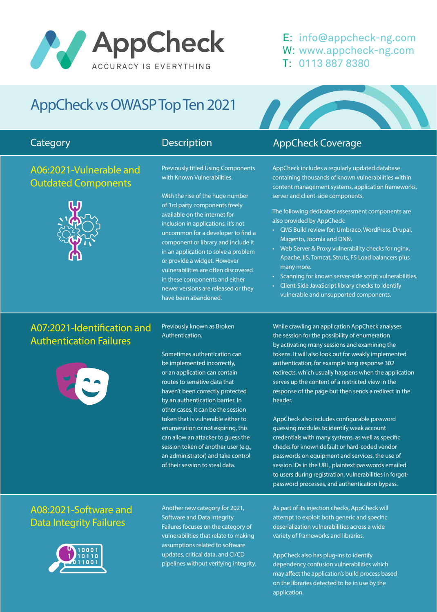

#### E: info@appcheck-ng.com W: www.appcheck-ng.com T: 0113 887 8380

## AppCheck vs OWASP Top Ten 2021

#### A06:2021-Vulnerable and Outdated Components



Previously titled Using Components with Known Vulnerabilities.

With the rise of the huge number of 3rd party components freely available on the internet for inclusion in applications, it's not uncommon for a developer to find a component or library and include it in an application to solve a problem or provide a widget. However vulnerabilities are often discovered in these components and either newer versions are released or they have been abandoned.

### **Category Category Category** Description AppCheck Coverage

AppCheck includes a regularly updated database containing thousands of known vulnerabilities within content management systems, application frameworks, server and client-side components.

The following dedicated assessment components are also provided by AppCheck:

- CMS Build review for; Umbraco, WordPress, Drupal, Magento, Joomla and DNN.
- Web Server & Proxy vulnerability checks for nginx, Apache, IIS, Tomcat, Struts, F5 Load balancers plus many more.
- Scanning for known server-side script vulnerabilities.
- Client-Side JavaScript library checks to identify vulnerable and unsupported components.

### A07:2021-Identification and Authentication Failures



Previously known as Broken Authentication.

Sometimes authentication can be implemented incorrectly, or an application can contain routes to sensitive data that haven't been correctly protected by an authentication barrier. In other cases, it can be the session token that is vulnerable either to enumeration or not expiring, this can allow an attacker to guess the session token of another user (e.g., an administrator) and take control of their session to steal data.

While crawling an application AppCheck analyses the session for the possibility of enumeration by activating many sessions and examining the tokens. It will also look out for weakly implemented authentication, for example long response 302 redirects, which usually happens when the application serves up the content of a restricted view in the response of the page but then sends a redirect in the header.

AppCheck also includes configurable password guessing modules to identify weak account credentials with many systems, as well as specific checks for known default or hard-coded vendor passwords on equipment and services, the use of session IDs in the URL, plaintext passwords emailed to users during registration, vulnerabilities in forgotpassword processes, and authentication bypass.

### A08:2021-Software and Data Integrity Failures



Another new category for 2021, Software and Data Integrity Failures focuses on the category of vulnerabilities that relate to making assumptions related to software updates, critical data, and CI/CD pipelines without verifying integrity. As part of its injection checks, AppCheck will attempt to exploit both generic and specific deserialization vulnerabilities across a wide variety of frameworks and libraries.

AppCheck also has plug-ins to identify dependency confusion vulnerabilities which may affect the application's build process based on the libraries detected to be in use by the application.